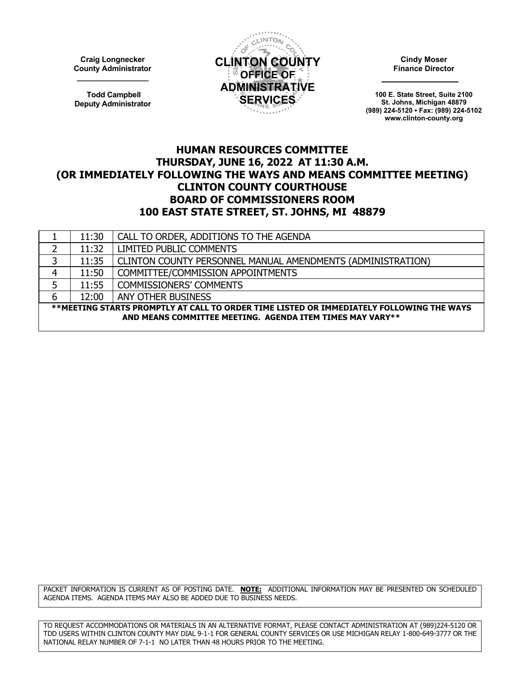**Craig Longnecker County Administrator \_\_\_\_\_\_\_\_\_\_\_\_\_\_\_\_\_**

**Todd Campbell Deputy Administrator**



**Cindy Moser Finance Director**

**100 E. State Street, Suite 2100 St. Johns, Michigan 48879 (989) 224-5120 ▪ Fax: (989) 224-5102 www.clinton-county.org**

## **HUMAN RESOURCES COMMITTEE THURSDAY, JUNE 16, 2022 AT 11:30 A.M. (OR IMMEDIATELY FOLLOWING THE WAYS AND MEANS COMMITTEE MEETING) CLINTON COUNTY COURTHOUSE BOARD OF COMMISSIONERS ROOM 100 EAST STATE STREET, ST. JOHNS, MI 48879**

| 11:30                                                                                    | CALL TO ORDER, ADDITIONS TO THE AGENDA                      |  |
|------------------------------------------------------------------------------------------|-------------------------------------------------------------|--|
| 11:32                                                                                    | <b>LIMITED PUBLIC COMMENTS</b>                              |  |
| 11:35                                                                                    | CLINTON COUNTY PERSONNEL MANUAL AMENDMENTS (ADMINISTRATION) |  |
| 11:50                                                                                    | COMMITTEE/COMMISSION APPOINTMENTS                           |  |
| 11:55                                                                                    | <b>COMMISSIONERS' COMMENTS</b>                              |  |
| 12:00                                                                                    | ANY OTHER BUSINESS                                          |  |
| **MEETING STARTS PROMPTLY AT CALL TO ORDER TIME LISTED OR IMMEDIATELY FOLLOWING THE WAYS |                                                             |  |
| AND MEANS COMMITTEE MEETING. AGENDA ITEM TIMES MAY VARY**                                |                                                             |  |
|                                                                                          |                                                             |  |

PACKET INFORMATION IS CURRENT AS OF POSTING DATE. **NOTE:** ADDITIONAL INFORMATION MAY BE PRESENTED ON SCHEDULED AGENDA ITEMS. AGENDA ITEMS MAY ALSO BE ADDED DUE TO BUSINESS NEEDS.

TO REQUEST ACCOMMODATIONS OR MATERIALS IN AN ALTERNATIVE FORMAT, PLEASE CONTACT ADMINISTRATION AT (989)224-5120 OR TDD USERS WITHIN CLINTON COUNTY MAY DIAL 9-1-1 FOR GENERAL COUNTY SERVICES OR USE MICHIGAN RELAY 1-800-649-3777 OR THE NATIONAL RELAY NUMBER OF 7-1-1 NO LATER THAN 48 HOURS PRIOR TO THE MEETING.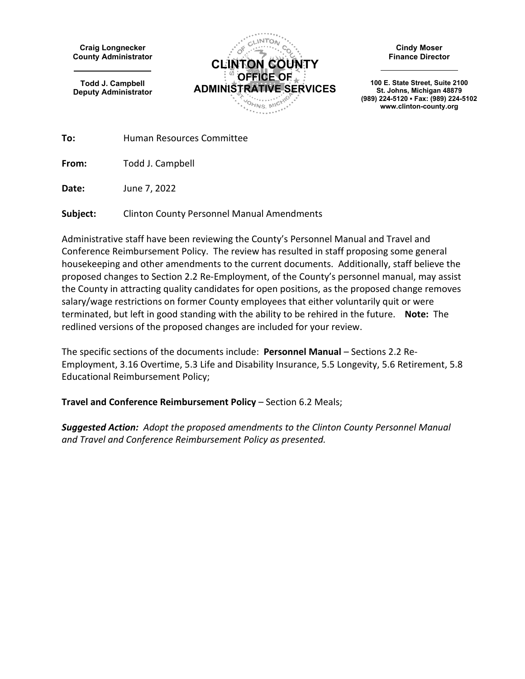**Craig Longnecker County Administrator**

**Todd J. Campbell Deputy Administrator**



**Cindy Moser Finance Director**

**100 E. State Street, Suite 2100 St. Johns, Michigan 48879 (989) 224-5120 ▪ Fax: (989) 224-5102 www.clinton-county.org**

**To:** Human Resources Committee

**From:** Todd J. Campbell

**Date:** June 7, 2022

**Subject:** Clinton County Personnel Manual Amendments

Administrative staff have been reviewing the County's Personnel Manual and Travel and Conference Reimbursement Policy. The review has resulted in staff proposing some general housekeeping and other amendments to the current documents. Additionally, staff believe the proposed changes to Section 2.2 Re-Employment, of the County's personnel manual, may assist the County in attracting quality candidates for open positions, as the proposed change removes salary/wage restrictions on former County employees that either voluntarily quit or were terminated, but left in good standing with the ability to be rehired in the future. **Note:** The redlined versions of the proposed changes are included for your review.

The specific sections of the documents include: **Personnel Manual** – Sections 2.2 Re-Employment, 3.16 Overtime, 5.3 Life and Disability Insurance, 5.5 Longevity, 5.6 Retirement, 5.8 Educational Reimbursement Policy;

**Travel and Conference Reimbursement Policy** – Section 6.2 Meals;

*Suggested Action: Adopt the proposed amendments to the Clinton County Personnel Manual and Travel and Conference Reimbursement Policy as presented.*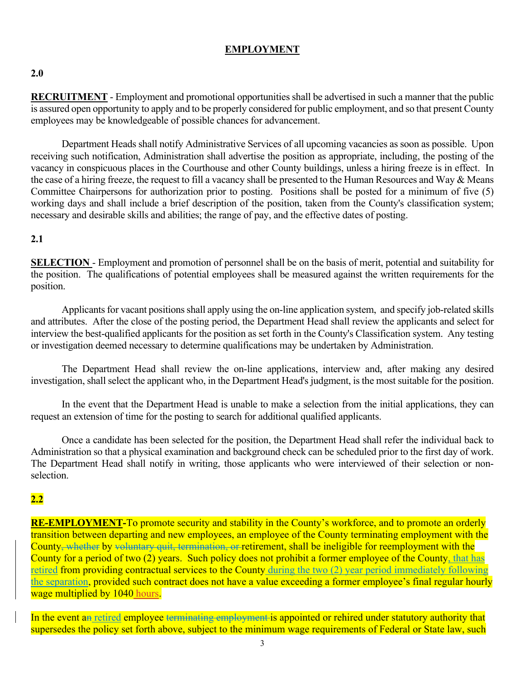## **EMPLOYMENT**

#### **2.0**

**RECRUITMENT** - Employment and promotional opportunities shall be advertised in such a manner that the public is assured open opportunity to apply and to be properly considered for public employment, and so that present County employees may be knowledgeable of possible chances for advancement.

 Department Heads shall notify Administrative Services of all upcoming vacancies as soon as possible. Upon receiving such notification, Administration shall advertise the position as appropriate, including, the posting of the vacancy in conspicuous places in the Courthouse and other County buildings, unless a hiring freeze is in effect. In the case of a hiring freeze, the request to fill a vacancy shall be presented to the Human Resources and Way & Means Committee Chairpersons for authorization prior to posting. Positions shall be posted for a minimum of five (5) working days and shall include a brief description of the position, taken from the County's classification system; necessary and desirable skills and abilities; the range of pay, and the effective dates of posting.

#### **2.1**

**SELECTION** - Employment and promotion of personnel shall be on the basis of merit, potential and suitability for the position. The qualifications of potential employees shall be measured against the written requirements for the position.

 Applicants for vacant positions shall apply using the on-line application system, and specify job-related skills and attributes. After the close of the posting period, the Department Head shall review the applicants and select for interview the best-qualified applicants for the position as set forth in the County's Classification system. Any testing or investigation deemed necessary to determine qualifications may be undertaken by Administration.

 The Department Head shall review the on-line applications, interview and, after making any desired investigation, shall select the applicant who, in the Department Head's judgment, is the most suitable for the position.

 In the event that the Department Head is unable to make a selection from the initial applications, they can request an extension of time for the posting to search for additional qualified applicants.

 Once a candidate has been selected for the position, the Department Head shall refer the individual back to Administration so that a physical examination and background check can be scheduled prior to the first day of work. The Department Head shall notify in writing, those applicants who were interviewed of their selection or nonselection.

#### **2.2**

**RE-EMPLOYMENT-**To promote security and stability in the County's workforce, and to promote an orderly transition between departing and new employees, an employee of the County terminating employment with the County, whether by voluntary quit, termination, or retirement, shall be ineligible for reemployment with the County for a period of two (2) years. Such policy does not prohibit a former employee of the County, that has retired from providing contractual services to the County during the two (2) year period immediately following the separation, provided such contract does not have a value exceeding a former employee's final regular hourly wage multiplied by 1040 hours.

In the event an retired employee terminating employment is appointed or rehired under statutory authority that supersedes the policy set forth above, subject to the minimum wage requirements of Federal or State law, such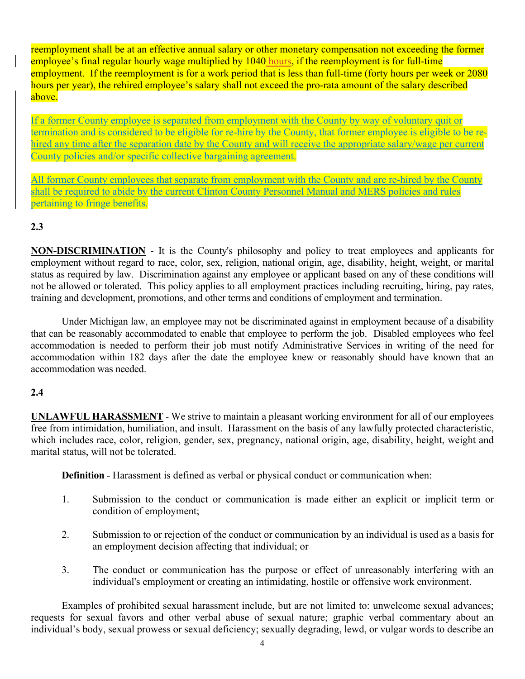reemployment shall be at an effective annual salary or other monetary compensation not exceeding the former employee's final regular hourly wage multiplied by 1040 hours, if the reemployment is for full-time employment. If the reemployment is for a work period that is less than full-time (forty hours per week or 2080 hours per year), the rehired employee's salary shall not exceed the pro-rata amount of the salary described above.

If a former County employee is separated from employment with the County by way of voluntary quit or termination and is considered to be eligible for re-hire by the County, that former employee is eligible to be rehired any time after the separation date by the County and will receive the appropriate salary/wage per current County policies and/or specific collective bargaining agreement.

All former County employees that separate from employment with the County and are re-hired by the County shall be required to abide by the current Clinton County Personnel Manual and MERS policies and rules pertaining to fringe benefits.

## **2.3**

**NON-DISCRIMINATION** - It is the County's philosophy and policy to treat employees and applicants for employment without regard to race, color, sex, religion, national origin, age, disability, height, weight, or marital status as required by law. Discrimination against any employee or applicant based on any of these conditions will not be allowed or tolerated. This policy applies to all employment practices including recruiting, hiring, pay rates, training and development, promotions, and other terms and conditions of employment and termination.

Under Michigan law, an employee may not be discriminated against in employment because of a disability that can be reasonably accommodated to enable that employee to perform the job. Disabled employees who feel accommodation is needed to perform their job must notify Administrative Services in writing of the need for accommodation within 182 days after the date the employee knew or reasonably should have known that an accommodation was needed.

## **2.4**

**UNLAWFUL HARASSMENT** - We strive to maintain a pleasant working environment for all of our employees free from intimidation, humiliation, and insult. Harassment on the basis of any lawfully protected characteristic, which includes race, color, religion, gender, sex, pregnancy, national origin, age, disability, height, weight and marital status, will not be tolerated.

**Definition** - Harassment is defined as verbal or physical conduct or communication when:

- 1. Submission to the conduct or communication is made either an explicit or implicit term or condition of employment;
- 2. Submission to or rejection of the conduct or communication by an individual is used as a basis for an employment decision affecting that individual; or
- 3. The conduct or communication has the purpose or effect of unreasonably interfering with an individual's employment or creating an intimidating, hostile or offensive work environment.

Examples of prohibited sexual harassment include, but are not limited to: unwelcome sexual advances; requests for sexual favors and other verbal abuse of sexual nature; graphic verbal commentary about an individual's body, sexual prowess or sexual deficiency; sexually degrading, lewd, or vulgar words to describe an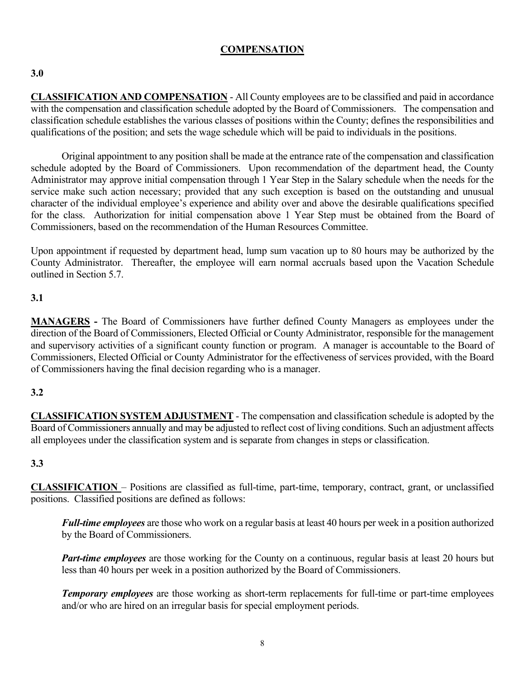## **COMPENSATION**

## **3.0**

**CLASSIFICATION AND COMPENSATION** - All County employees are to be classified and paid in accordance with the compensation and classification schedule adopted by the Board of Commissioners. The compensation and classification schedule establishes the various classes of positions within the County; defines the responsibilities and qualifications of the position; and sets the wage schedule which will be paid to individuals in the positions.

Original appointment to any position shall be made at the entrance rate of the compensation and classification schedule adopted by the Board of Commissioners. Upon recommendation of the department head, the County Administrator may approve initial compensation through 1 Year Step in the Salary schedule when the needs for the service make such action necessary; provided that any such exception is based on the outstanding and unusual character of the individual employee's experience and ability over and above the desirable qualifications specified for the class. Authorization for initial compensation above 1 Year Step must be obtained from the Board of Commissioners, based on the recommendation of the Human Resources Committee.

Upon appointment if requested by department head, lump sum vacation up to 80 hours may be authorized by the County Administrator. Thereafter, the employee will earn normal accruals based upon the Vacation Schedule outlined in Section 5.7.

## **3.1**

**MANAGERS -** The Board of Commissioners have further defined County Managers as employees under the direction of the Board of Commissioners, Elected Official or County Administrator, responsible for the management and supervisory activities of a significant county function or program. A manager is accountable to the Board of Commissioners, Elected Official or County Administrator for the effectiveness of services provided, with the Board of Commissioners having the final decision regarding who is a manager.

## **3.2**

**CLASSIFICATION SYSTEM ADJUSTMENT** - The compensation and classification schedule is adopted by the Board of Commissioners annually and may be adjusted to reflect cost of living conditions. Such an adjustment affects all employees under the classification system and is separate from changes in steps or classification.

## **3.3**

**CLASSIFICATION** – Positions are classified as full-time, part-time, temporary, contract, grant, or unclassified positions. Classified positions are defined as follows:

*Full-time employees* are those who work on a regular basis at least 40 hours per week in a position authorized by the Board of Commissioners.

*Part-time employees* are those working for the County on a continuous, regular basis at least 20 hours but less than 40 hours per week in a position authorized by the Board of Commissioners.

*Temporary employees* are those working as short-term replacements for full-time or part-time employees and/or who are hired on an irregular basis for special employment periods.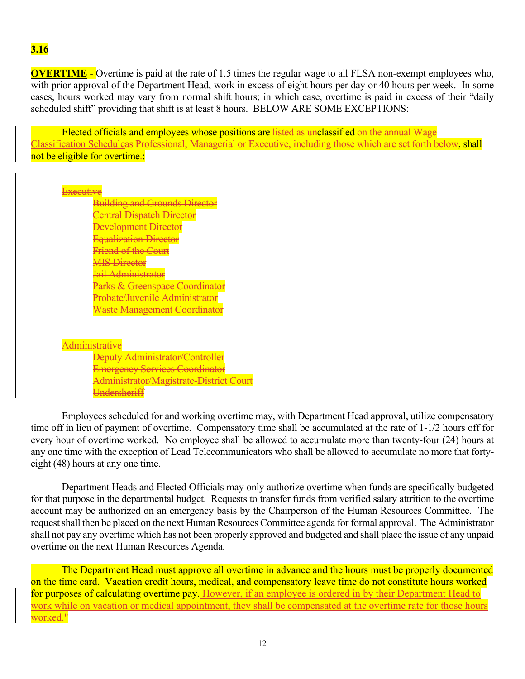#### **3.16**

**OVERTIME** - Overtime is paid at the rate of 1.5 times the regular wage to all FLSA non-exempt employees who, with prior approval of the Department Head, work in excess of eight hours per day or 40 hours per week. In some cases, hours worked may vary from normal shift hours; in which case, overtime is paid in excess of their "daily scheduled shift" providing that shift is at least 8 hours. BELOW ARE SOME EXCEPTIONS:

Elected officials and employees whose positions are listed as unclassified on the annual Wage Classification Scheduleas Professional, Managerial or Executive, including those which are set forth below, shall not be eligible for overtime.:

#### **Executive**

Building and Grounds Director Central Dispatch Director Development Director Equalization Director **Friend of the Court MIS Director** Jail Administrator Parks & Greenspace Coordinator Probate/Juvenile Administrator Waste Management Coordinator

#### Administrative

Deputy Administrator/Controller Emergency Services Coordinator Administrator/Magistrate-District Court Undersheriff

Employees scheduled for and working overtime may, with Department Head approval, utilize compensatory time off in lieu of payment of overtime. Compensatory time shall be accumulated at the rate of 1-1/2 hours off for every hour of overtime worked. No employee shall be allowed to accumulate more than twenty-four (24) hours at any one time with the exception of Lead Telecommunicators who shall be allowed to accumulate no more that fortyeight (48) hours at any one time.

Department Heads and Elected Officials may only authorize overtime when funds are specifically budgeted for that purpose in the departmental budget. Requests to transfer funds from verified salary attrition to the overtime account may be authorized on an emergency basis by the Chairperson of the Human Resources Committee. The request shall then be placed on the next Human Resources Committee agenda for formal approval. The Administrator shall not pay any overtime which has not been properly approved and budgeted and shall place the issue of any unpaid overtime on the next Human Resources Agenda.

The Department Head must approve all overtime in advance and the hours must be properly documented on the time card. Vacation credit hours, medical, and compensatory leave time do not constitute hours worked for purposes of calculating overtime pay. However, if an employee is ordered in by their Department Head to work while on vacation or medical appointment, they shall be compensated at the overtime rate for those hours worked."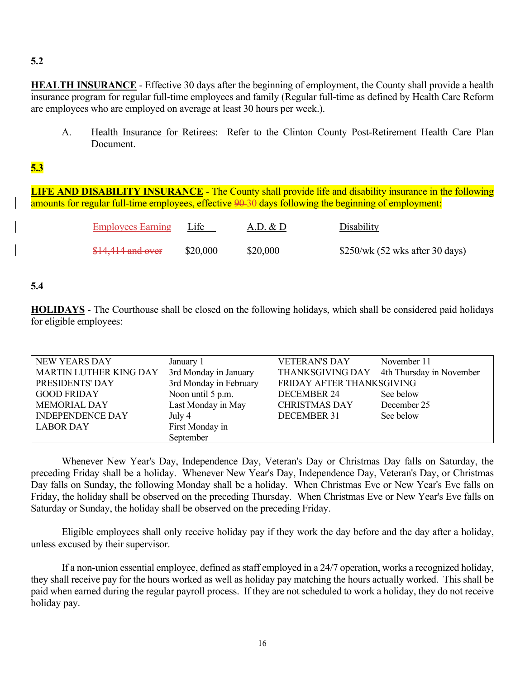## **5.2**

**HEALTH INSURANCE** - Effective 30 days after the beginning of employment, the County shall provide a health insurance program for regular full-time employees and family (Regular full-time as defined by Health Care Reform are employees who are employed on average at least 30 hours per week.).

A. Health Insurance for Retirees: Refer to the Clinton County Post-Retirement Health Care Plan Document.

## **5.3**

**LIFE AND DISABILITY INSURANCE** - The County shall provide life and disability insurance in the following amounts for regular full-time employees, effective 90-30 days following the beginning of employment:

| <b>Employees Earning</b> | Life     | A.D. & D | Disability                      |
|--------------------------|----------|----------|---------------------------------|
| $$14,414$ and over       | \$20,000 | \$20,000 | \$250/wk (52 wks after 30 days) |

## **5.4**

**HOLIDAYS** - The Courthouse shall be closed on the following holidays, which shall be considered paid holidays for eligible employees:

| NEW YEARS DAY                 | January 1              | <b>VETERAN'S DAY</b>      | November 11              |
|-------------------------------|------------------------|---------------------------|--------------------------|
| <b>MARTIN LUTHER KING DAY</b> | 3rd Monday in January  | THANKSGIVING DAY          | 4th Thursday in November |
| PRESIDENTS' DAY               | 3rd Monday in February | FRIDAY AFTER THANKSGIVING |                          |
| <b>GOOD FRIDAY</b>            | Noon until 5 p.m.      | <b>DECEMBER 24</b>        | See below                |
| <b>MEMORIAL DAY</b>           | Last Monday in May     | <b>CHRISTMAS DAY</b>      | December 25              |
| <b>INDEPENDENCE DAY</b>       | July 4                 | <b>DECEMBER 31</b>        | See below                |
| <b>LABOR DAY</b>              | First Monday in        |                           |                          |
|                               | September              |                           |                          |

 Whenever New Year's Day, Independence Day, Veteran's Day or Christmas Day falls on Saturday, the preceding Friday shall be a holiday. Whenever New Year's Day, Independence Day, Veteran's Day, or Christmas Day falls on Sunday, the following Monday shall be a holiday. When Christmas Eve or New Year's Eve falls on Friday, the holiday shall be observed on the preceding Thursday. When Christmas Eve or New Year's Eve falls on Saturday or Sunday, the holiday shall be observed on the preceding Friday.

 Eligible employees shall only receive holiday pay if they work the day before and the day after a holiday, unless excused by their supervisor.

 If a non-union essential employee, defined as staff employed in a 24/7 operation, works a recognized holiday, they shall receive pay for the hours worked as well as holiday pay matching the hours actually worked. This shall be paid when earned during the regular payroll process. If they are not scheduled to work a holiday, they do not receive holiday pay.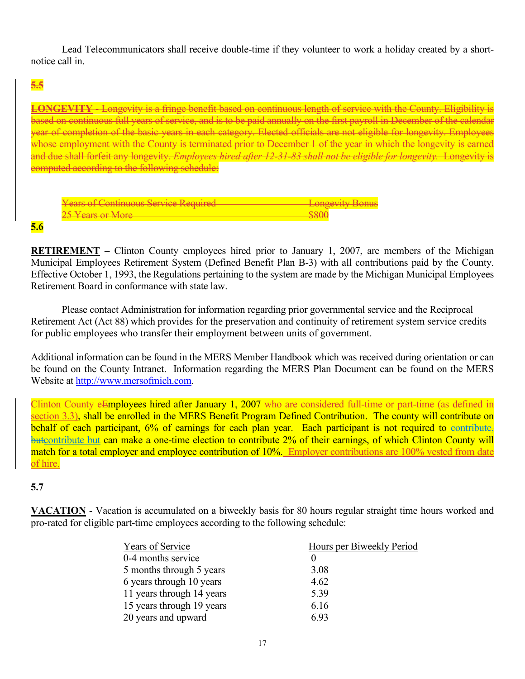Lead Telecommunicators shall receive double-time if they volunteer to work a holiday created by a shortnotice call in.

## **5.5**

**LONGEVITY** - Longevity is a fringe benefit based on continuous length of service with the County. Eligibility is based on continuous full years of service, and is to be paid annually on the first payroll in December of the calendar year of completion of the basic years in each category. Elected officials are not eligible for longevity. Employees whose employment with the County is terminated prior to December 1 of the year in which the longevity is earned and due shall forfeit any longevity. *Employees hired after 12-31-83 shall not be eligible for longevity.* Longevity is computed according to the following schedule:

| Vegre of Continuous Service Required<br><del>Tears of Continuous Bervice Required</del> |  |
|-----------------------------------------------------------------------------------------|--|
| $25$ V $20$ $\alpha$ $\beta$ $\beta$ $\beta$                                            |  |

#### **5.6**

**RETIREMENT** – Clinton County employees hired prior to January 1, 2007, are members of the Michigan Municipal Employees Retirement System (Defined Benefit Plan B-3) with all contributions paid by the County. Effective October 1, 1993, the Regulations pertaining to the system are made by the Michigan Municipal Employees Retirement Board in conformance with state law.

Please contact Administration for information regarding prior governmental service and the Reciprocal Retirement Act (Act 88) which provides for the preservation and continuity of retirement system service credits for public employees who transfer their employment between units of government.

Additional information can be found in the MERS Member Handbook which was received during orientation or can be found on the County Intranet. Information regarding the MERS Plan Document can be found on the MERS Website at [http://www.mersofmich.com.](http://www.mersofmich.com/plandoc.html)

Clinton County eEmployees hired after January 1, 2007 who are considered full-time or part-time (as defined in section 3.3), shall be enrolled in the MERS Benefit Program Defined Contribution. The county will contribute on behalf of each participant, 6% of earnings for each plan year. Each participant is not required to eontribute, butcontribute but can make a one-time election to contribute 2% of their earnings, of which Clinton County will match for a total employer and employee contribution of 10%. Employer contributions are 100% vested from date of hire.

## **5.7**

**VACATION** - Vacation is accumulated on a biweekly basis for 80 hours regular straight time hours worked and pro-rated for eligible part-time employees according to the following schedule:

| Years of Service          | Hours per Biweekly Period |
|---------------------------|---------------------------|
| 0-4 months service        |                           |
| 5 months through 5 years  | 3.08                      |
| 6 years through 10 years  | 4.62                      |
| 11 years through 14 years | 5.39                      |
| 15 years through 19 years | 6.16                      |
| 20 years and upward       | 6.93                      |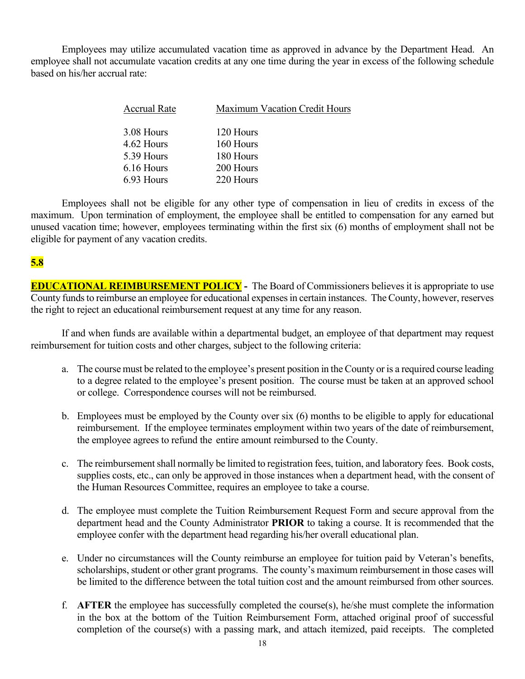Employees may utilize accumulated vacation time as approved in advance by the Department Head. An employee shall not accumulate vacation credits at any one time during the year in excess of the following schedule based on his/her accrual rate:

| <b>Accrual Rate</b> | <b>Maximum Vacation Credit Hours</b> |  |  |
|---------------------|--------------------------------------|--|--|
| 3.08 Hours          | 120 Hours                            |  |  |
| 4.62 Hours          | 160 Hours                            |  |  |
| 5.39 Hours          | 180 Hours                            |  |  |
| 6.16 Hours          | 200 Hours                            |  |  |
| 6.93 Hours          | 220 Hours                            |  |  |
|                     |                                      |  |  |

Employees shall not be eligible for any other type of compensation in lieu of credits in excess of the maximum. Upon termination of employment, the employee shall be entitled to compensation for any earned but unused vacation time; however, employees terminating within the first six (6) months of employment shall not be eligible for payment of any vacation credits.

## **5.8**

**EDUCATIONAL REIMBURSEMENT POLICY** - The Board of Commissioners believes it is appropriate to use County funds to reimburse an employee for educational expenses in certain instances. The County, however, reserves the right to reject an educational reimbursement request at any time for any reason.

If and when funds are available within a departmental budget, an employee of that department may request reimbursement for tuition costs and other charges, subject to the following criteria:

- a. The course must be related to the employee's present position in the County or is a required course leading to a degree related to the employee's present position. The course must be taken at an approved school or college. Correspondence courses will not be reimbursed.
- b. Employees must be employed by the County over six (6) months to be eligible to apply for educational reimbursement. If the employee terminates employment within two years of the date of reimbursement, the employee agrees to refund the entire amount reimbursed to the County.
- c. The reimbursement shall normally be limited to registration fees, tuition, and laboratory fees. Book costs, supplies costs, etc., can only be approved in those instances when a department head, with the consent of the Human Resources Committee, requires an employee to take a course.
- d. The employee must complete the Tuition Reimbursement Request Form and secure approval from the department head and the County Administrator **PRIOR** to taking a course. It is recommended that the employee confer with the department head regarding his/her overall educational plan.
- e. Under no circumstances will the County reimburse an employee for tuition paid by Veteran's benefits, scholarships, student or other grant programs. The county's maximum reimbursement in those cases will be limited to the difference between the total tuition cost and the amount reimbursed from other sources.
- f. **AFTER** the employee has successfully completed the course(s), he/she must complete the information in the box at the bottom of the Tuition Reimbursement Form, attached original proof of successful completion of the course(s) with a passing mark, and attach itemized, paid receipts. The completed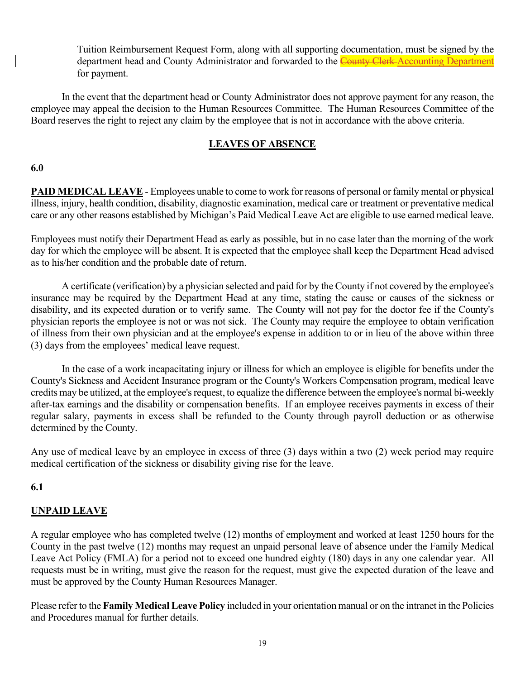Tuition Reimbursement Request Form, along with all supporting documentation, must be signed by the department head and County Administrator and forwarded to the County Clerk Accounting Department for payment.

In the event that the department head or County Administrator does not approve payment for any reason, the employee may appeal the decision to the Human Resources Committee. The Human Resources Committee of the Board reserves the right to reject any claim by the employee that is not in accordance with the above criteria.

## **LEAVES OF ABSENCE**

#### **6.0**

**PAID MEDICAL LEAVE** - Employees unable to come to work for reasons of personal or family mental or physical illness, injury, health condition, disability, diagnostic examination, medical care or treatment or preventative medical care or any other reasons established by Michigan's Paid Medical Leave Act are eligible to use earned medical leave.

Employees must notify their Department Head as early as possible, but in no case later than the morning of the work day for which the employee will be absent. It is expected that the employee shall keep the Department Head advised as to his/her condition and the probable date of return.

A certificate (verification) by a physician selected and paid for by the County if not covered by the employee's insurance may be required by the Department Head at any time, stating the cause or causes of the sickness or disability, and its expected duration or to verify same. The County will not pay for the doctor fee if the County's physician reports the employee is not or was not sick. The County may require the employee to obtain verification of illness from their own physician and at the employee's expense in addition to or in lieu of the above within three (3) days from the employees' medical leave request.

In the case of a work incapacitating injury or illness for which an employee is eligible for benefits under the County's Sickness and Accident Insurance program or the County's Workers Compensation program, medical leave credits may be utilized, at the employee's request, to equalize the difference between the employee's normal bi-weekly after-tax earnings and the disability or compensation benefits. If an employee receives payments in excess of their regular salary, payments in excess shall be refunded to the County through payroll deduction or as otherwise determined by the County.

Any use of medical leave by an employee in excess of three (3) days within a two (2) week period may require medical certification of the sickness or disability giving rise for the leave.

## **6.1**

## **UNPAID LEAVE**

A regular employee who has completed twelve (12) months of employment and worked at least 1250 hours for the County in the past twelve (12) months may request an unpaid personal leave of absence under the Family Medical Leave Act Policy (FMLA) for a period not to exceed one hundred eighty (180) days in any one calendar year. All requests must be in writing, must give the reason for the request, must give the expected duration of the leave and must be approved by the County Human Resources Manager.

Please refer to the **Family Medical Leave Policy** included in your orientation manual or on the intranet in the Policies and Procedures manual for further details.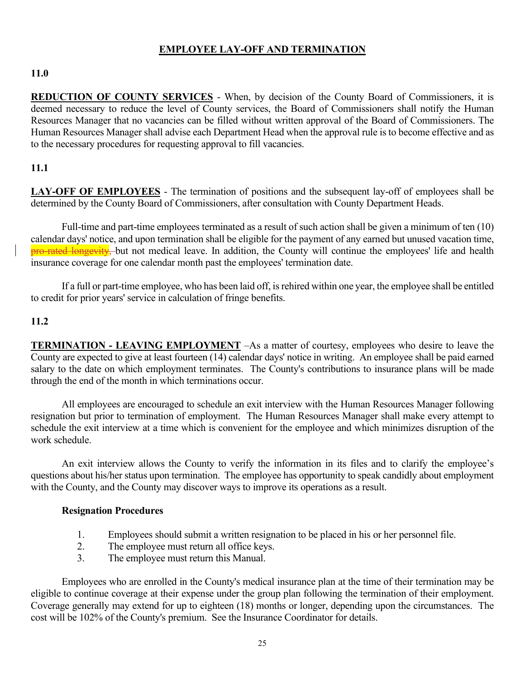## **EMPLOYEE LAY-OFF AND TERMINATION**

## **11.0**

**REDUCTION OF COUNTY SERVICES** - When, by decision of the County Board of Commissioners, it is deemed necessary to reduce the level of County services, the Board of Commissioners shall notify the Human Resources Manager that no vacancies can be filled without written approval of the Board of Commissioners. The Human Resources Manager shall advise each Department Head when the approval rule is to become effective and as to the necessary procedures for requesting approval to fill vacancies.

## **11.1**

**LAY-OFF OF EMPLOYEES** - The termination of positions and the subsequent lay-off of employees shall be determined by the County Board of Commissioners, after consultation with County Department Heads.

Full-time and part-time employees terminated as a result of such action shall be given a minimum of ten (10) calendar days' notice, and upon termination shall be eligible for the payment of any earned but unused vacation time, **pro-rated longevity**, but not medical leave. In addition, the County will continue the employees' life and health insurance coverage for one calendar month past the employees' termination date.

If a full or part-time employee, who has been laid off, is rehired within one year, the employee shall be entitled to credit for prior years' service in calculation of fringe benefits.

#### **11.2**

**TERMINATION - LEAVING EMPLOYMENT** –As a matter of courtesy, employees who desire to leave the County are expected to give at least fourteen (14) calendar days' notice in writing. An employee shall be paid earned salary to the date on which employment terminates. The County's contributions to insurance plans will be made through the end of the month in which terminations occur.

All employees are encouraged to schedule an exit interview with the Human Resources Manager following resignation but prior to termination of employment. The Human Resources Manager shall make every attempt to schedule the exit interview at a time which is convenient for the employee and which minimizes disruption of the work schedule.

An exit interview allows the County to verify the information in its files and to clarify the employee's questions about his/her status upon termination. The employee has opportunity to speak candidly about employment with the County, and the County may discover ways to improve its operations as a result.

#### **Resignation Procedures**

- 1. Employees should submit a written resignation to be placed in his or her personnel file.
- 2. The employee must return all office keys.
- 3. The employee must return this Manual.

Employees who are enrolled in the County's medical insurance plan at the time of their termination may be eligible to continue coverage at their expense under the group plan following the termination of their employment. Coverage generally may extend for up to eighteen (18) months or longer, depending upon the circumstances. The cost will be 102% of the County's premium. See the Insurance Coordinator for details.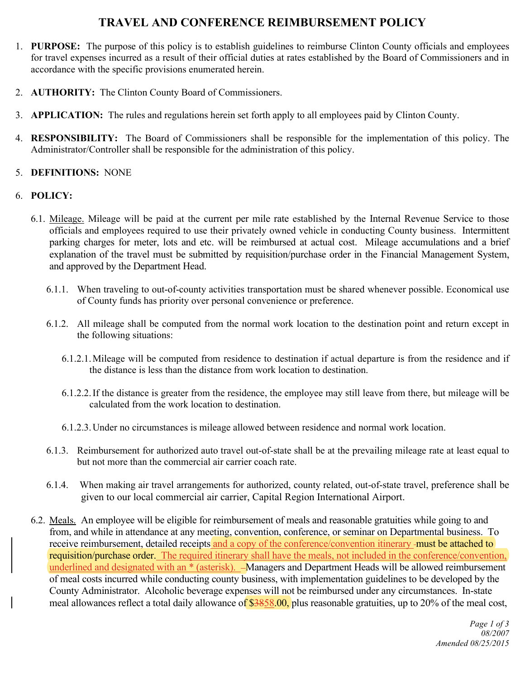# **TRAVEL AND CONFERENCE REIMBURSEMENT POLICY**

- 1. **PURPOSE:** The purpose of this policy is to establish guidelines to reimburse Clinton County officials and employees for travel expenses incurred as a result of their official duties at rates established by the Board of Commissioners and in accordance with the specific provisions enumerated herein.
- 2. **AUTHORITY:** The Clinton County Board of Commissioners.
- 3. **APPLICATION:** The rules and regulations herein set forth apply to all employees paid by Clinton County.
- 4. **RESPONSIBILITY:** The Board of Commissioners shall be responsible for the implementation of this policy. The Administrator/Controller shall be responsible for the administration of this policy.
- 5. **DEFINITIONS:** NONE

#### 6. **POLICY:**

- 6.1. Mileage. Mileage will be paid at the current per mile rate established by the Internal Revenue Service to those officials and employees required to use their privately owned vehicle in conducting County business. Intermittent parking charges for meter, lots and etc. will be reimbursed at actual cost. Mileage accumulations and a brief explanation of the travel must be submitted by requisition/purchase order in the Financial Management System, and approved by the Department Head.
	- 6.1.1. When traveling to out-of-county activities transportation must be shared whenever possible. Economical use of County funds has priority over personal convenience or preference.
	- 6.1.2. All mileage shall be computed from the normal work location to the destination point and return except in the following situations:
		- 6.1.2.1.Mileage will be computed from residence to destination if actual departure is from the residence and if the distance is less than the distance from work location to destination.
		- 6.1.2.2.If the distance is greater from the residence, the employee may still leave from there, but mileage will be calculated from the work location to destination.
		- 6.1.2.3.Under no circumstances is mileage allowed between residence and normal work location.
	- 6.1.3. Reimbursement for authorized auto travel out-of-state shall be at the prevailing mileage rate at least equal to but not more than the commercial air carrier coach rate.
	- 6.1.4. When making air travel arrangements for authorized, county related, out-of-state travel, preference shall be given to our local commercial air carrier, Capital Region International Airport.
- 6.2. Meals. An employee will be eligible for reimbursement of meals and reasonable gratuities while going to and from, and while in attendance at any meeting, convention, conference, or seminar on Departmental business. To receive reimbursement, detailed receipts and a copy of the conference/convention itinerary -must be attached to requisition/purchase order. The required itinerary shall have the meals, not included in the conference/convention, underlined and designated with an \* (asterisk). - Managers and Department Heads will be allowed reimbursement of meal costs incurred while conducting county business, with implementation guidelines to be developed by the County Administrator. Alcoholic beverage expenses will not be reimbursed under any circumstances. In-state meal allowances reflect a total daily allowance of \$3858.00, plus reasonable gratuities, up to 20% of the meal cost,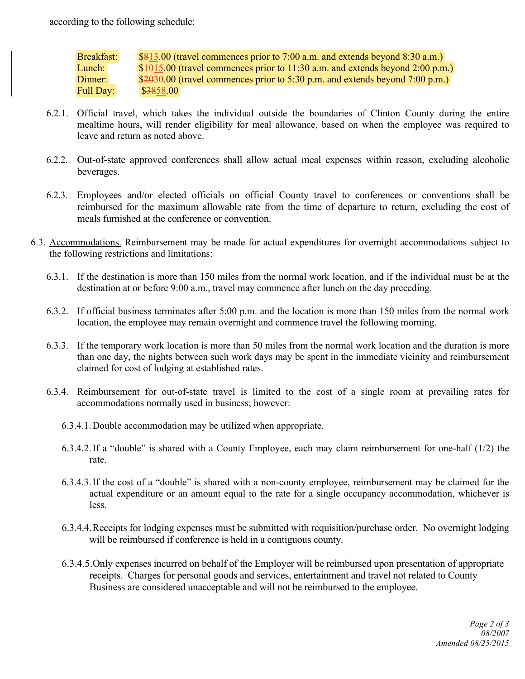according to the following schedule:

Breakfast: \$813.00 (travel commences prior to 7:00 a.m. and extends beyond 8:30 a.m.) Lunch:  $$4015.00$  (travel commences prior to 11:30 a.m. and extends beyond 2:00 p.m.) Dinner:  $$2030.00$  (travel commences prior to 5:30 p.m. and extends beyond 7:00 p.m.) Full Day: \$3858.00

- 6.2.1. Official travel, which takes the individual outside the boundaries of Clinton County during the entire mealtime hours, will render eligibility for meal allowance, based on when the employee was required to leave and return as noted above.
- 6.2.2. Out-of-state approved conferences shall allow actual meal expenses within reason, excluding alcoholic beverages.
- 6.2.3. Employees and/or elected officials on official County travel to conferences or conventions shall be reimbursed for the maximum allowable rate from the time of departure to return, excluding the cost of meals furnished at the conference or convention.
- 6.3. Accommodations. Reimbursement may be made for actual expenditures for overnight accommodations subject to the following restrictions and limitations:
	- 6.3.1. If the destination is more than 150 miles from the normal work location, and if the individual must be at the destination at or before 9:00 a.m., travel may commence after lunch on the day preceding.
	- 6.3.2. If official business terminates after 5:00 p.m. and the location is more than 150 miles from the normal work location, the employee may remain overnight and commence travel the following morning.
	- 6.3.3. If the temporary work location is more than 50 miles from the normal work location and the duration is more than one day, the nights between such work days may be spent in the immediate vicinity and reimbursement claimed for cost of lodging at established rates.
	- 6.3.4. Reimbursement for out-of-state travel is limited to the cost of a single room at prevailing rates for accommodations normally used in business; however:
		- 6.3.4.1.Double accommodation may be utilized when appropriate.
		- 6.3.4.2.If a "double" is shared with a County Employee, each may claim reimbursement for one-half (1/2) the rate.
		- 6.3.4.3.If the cost of a "double" is shared with a non-county employee, reimbursement may be claimed for the actual expenditure or an amount equal to the rate for a single occupancy accommodation, whichever is less.
		- 6.3.4.4.Receipts for lodging expenses must be submitted with requisition/purchase order. No overnight lodging will be reimbursed if conference is held in a contiguous county.
		- 6.3.4.5.Only expenses incurred on behalf of the Employer will be reimbursed upon presentation of appropriate receipts. Charges for personal goods and services, entertainment and travel not related to County Business are considered unacceptable and will not be reimbursed to the employee.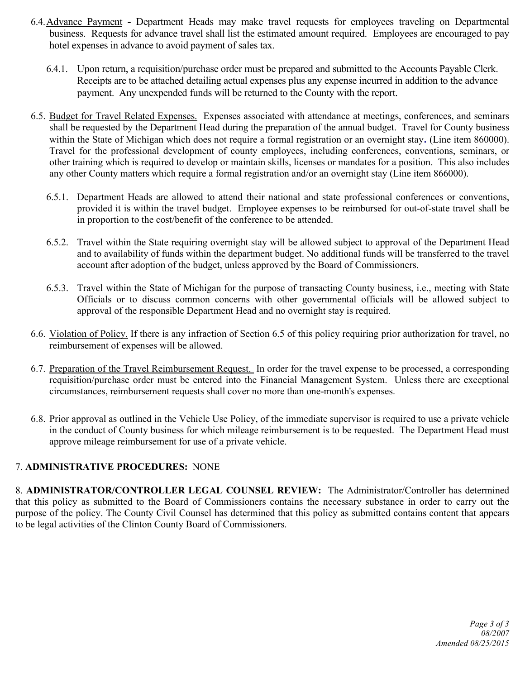- 6.4.Advance Payment **-** Department Heads may make travel requests for employees traveling on Departmental business. Requests for advance travel shall list the estimated amount required. Employees are encouraged to pay hotel expenses in advance to avoid payment of sales tax.
	- 6.4.1. Upon return, a requisition/purchase order must be prepared and submitted to the Accounts Payable Clerk. Receipts are to be attached detailing actual expenses plus any expense incurred in addition to the advance payment. Any unexpended funds will be returned to the County with the report.
- 6.5. Budget for Travel Related Expenses. Expenses associated with attendance at meetings, conferences, and seminars shall be requested by the Department Head during the preparation of the annual budget. Travel for County business within the State of Michigan which does not require a formal registration or an overnight stay. (Line item 860000). Travel for the professional development of county employees, including conferences, conventions, seminars, or other training which is required to develop or maintain skills, licenses or mandates for a position. This also includes any other County matters which require a formal registration and/or an overnight stay (Line item 866000).
	- 6.5.1. Department Heads are allowed to attend their national and state professional conferences or conventions, provided it is within the travel budget. Employee expenses to be reimbursed for out-of-state travel shall be in proportion to the cost/benefit of the conference to be attended.
	- 6.5.2. Travel within the State requiring overnight stay will be allowed subject to approval of the Department Head and to availability of funds within the department budget. No additional funds will be transferred to the travel account after adoption of the budget, unless approved by the Board of Commissioners.
	- 6.5.3. Travel within the State of Michigan for the purpose of transacting County business, i.e., meeting with State Officials or to discuss common concerns with other governmental officials will be allowed subject to approval of the responsible Department Head and no overnight stay is required.
- 6.6. Violation of Policy. If there is any infraction of Section 6.5 of this policy requiring prior authorization for travel, no reimbursement of expenses will be allowed.
- 6.7. Preparation of the Travel Reimbursement Request. In order for the travel expense to be processed, a corresponding requisition/purchase order must be entered into the Financial Management System. Unless there are exceptional circumstances, reimbursement requests shall cover no more than one-month's expenses.
- 6.8. Prior approval as outlined in the Vehicle Use Policy, of the immediate supervisor is required to use a private vehicle in the conduct of County business for which mileage reimbursement is to be requested. The Department Head must approve mileage reimbursement for use of a private vehicle.

## 7. **ADMINISTRATIVE PROCEDURES:** NONE

8. **ADMINISTRATOR/CONTROLLER LEGAL COUNSEL REVIEW:** The Administrator/Controller has determined that this policy as submitted to the Board of Commissioners contains the necessary substance in order to carry out the purpose of the policy. The County Civil Counsel has determined that this policy as submitted contains content that appears to be legal activities of the Clinton County Board of Commissioners.